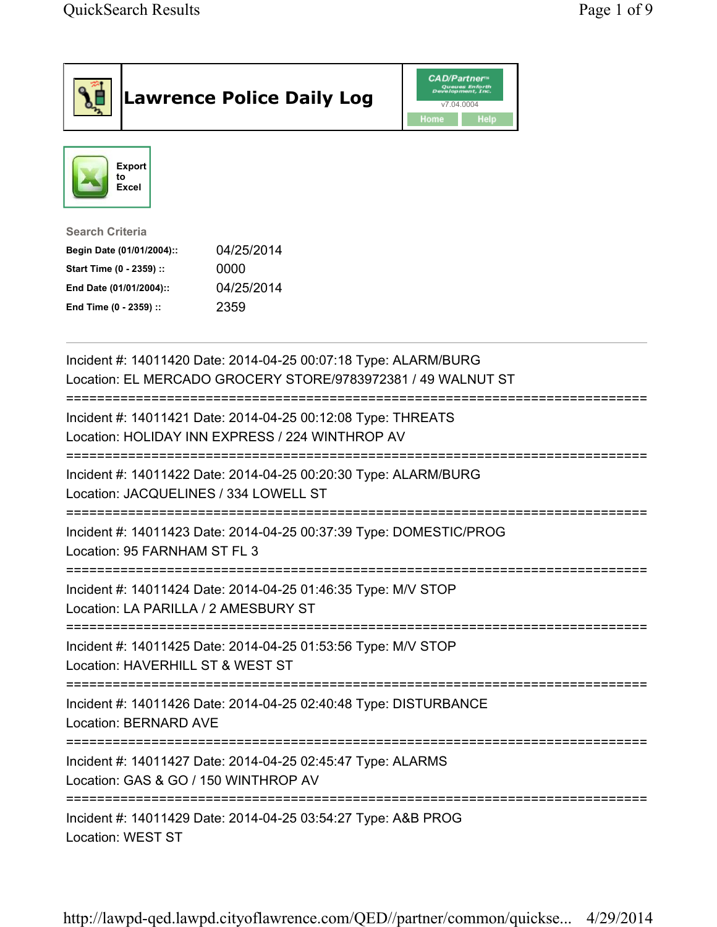|                                                                                                                                      | <b>Lawrence Police Daily Log</b>                                                                                | <b>CAD/Partner</b> #<br>Queues Enforth<br>Development, Inc.<br>v7.04.0004<br>Home<br><b>Help</b> |  |  |
|--------------------------------------------------------------------------------------------------------------------------------------|-----------------------------------------------------------------------------------------------------------------|--------------------------------------------------------------------------------------------------|--|--|
| <b>Export</b><br>to<br>Excel                                                                                                         |                                                                                                                 |                                                                                                  |  |  |
| <b>Search Criteria</b><br>Begin Date (01/01/2004)::<br>Start Time (0 - 2359) ::<br>End Date (01/01/2004)::<br>End Time (0 - 2359) :: | 04/25/2014<br>0000<br>04/25/2014<br>2359                                                                        |                                                                                                  |  |  |
| Incident #: 14011420 Date: 2014-04-25 00:07:18 Type: ALARM/BURG<br>Location: EL MERCADO GROCERY STORE/9783972381 / 49 WALNUT ST      |                                                                                                                 |                                                                                                  |  |  |
|                                                                                                                                      | Incident #: 14011421 Date: 2014-04-25 00:12:08 Type: THREATS<br>Location: HOLIDAY INN EXPRESS / 224 WINTHROP AV |                                                                                                  |  |  |
| Location: JACQUELINES / 334 LOWELL ST                                                                                                | Incident #: 14011422 Date: 2014-04-25 00:20:30 Type: ALARM/BURG                                                 |                                                                                                  |  |  |
| Location: 95 FARNHAM ST FL 3                                                                                                         | Incident #: 14011423 Date: 2014-04-25 00:37:39 Type: DOMESTIC/PROG                                              |                                                                                                  |  |  |
| Location: LA PARILLA / 2 AMESBURY ST                                                                                                 | Incident #: 14011424 Date: 2014-04-25 01:46:35 Type: M/V STOP                                                   |                                                                                                  |  |  |
| Location: HAVERHILL ST & WEST ST                                                                                                     | Incident #: 14011425 Date: 2014-04-25 01:53:56 Type: M/V STOP                                                   |                                                                                                  |  |  |
| Location: BERNARD AVE                                                                                                                | Incident #: 14011426 Date: 2014-04-25 02:40:48 Type: DISTURBANCE                                                |                                                                                                  |  |  |
| Location: GAS & GO / 150 WINTHROP AV                                                                                                 | Incident #: 14011427 Date: 2014-04-25 02:45:47 Type: ALARMS                                                     |                                                                                                  |  |  |
|                                                                                                                                      | Incident #: 14011429 Date: 2014-04-25 03:54:27 Type: A&B PROG                                                   |                                                                                                  |  |  |

Location: WEST ST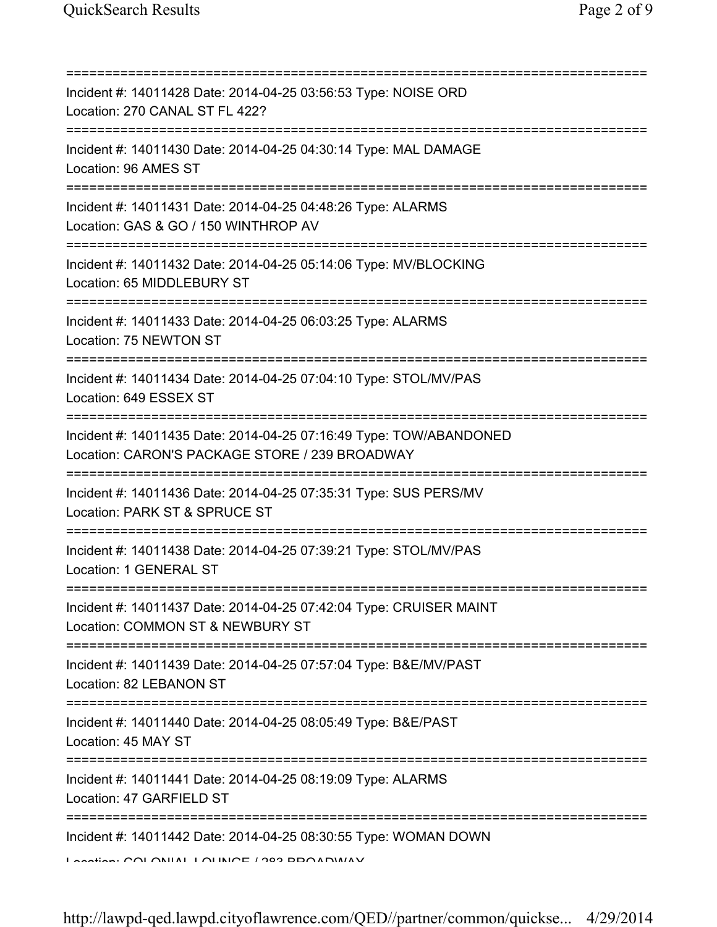| Incident #: 14011428 Date: 2014-04-25 03:56:53 Type: NOISE ORD<br>Location: 270 CANAL ST FL 422?<br>=======================                                                                                                                                                                                                                                                                                                                       |
|---------------------------------------------------------------------------------------------------------------------------------------------------------------------------------------------------------------------------------------------------------------------------------------------------------------------------------------------------------------------------------------------------------------------------------------------------|
| Incident #: 14011430 Date: 2014-04-25 04:30:14 Type: MAL DAMAGE<br>Location: 96 AMES ST                                                                                                                                                                                                                                                                                                                                                           |
| Incident #: 14011431 Date: 2014-04-25 04:48:26 Type: ALARMS<br>Location: GAS & GO / 150 WINTHROP AV<br>===============================                                                                                                                                                                                                                                                                                                            |
| Incident #: 14011432 Date: 2014-04-25 05:14:06 Type: MV/BLOCKING<br>Location: 65 MIDDLEBURY ST                                                                                                                                                                                                                                                                                                                                                    |
| Incident #: 14011433 Date: 2014-04-25 06:03:25 Type: ALARMS<br>Location: 75 NEWTON ST                                                                                                                                                                                                                                                                                                                                                             |
| Incident #: 14011434 Date: 2014-04-25 07:04:10 Type: STOL/MV/PAS<br>Location: 649 ESSEX ST                                                                                                                                                                                                                                                                                                                                                        |
| Incident #: 14011435 Date: 2014-04-25 07:16:49 Type: TOW/ABANDONED<br>Location: CARON'S PACKAGE STORE / 239 BROADWAY<br>==================                                                                                                                                                                                                                                                                                                        |
| Incident #: 14011436 Date: 2014-04-25 07:35:31 Type: SUS PERS/MV<br>Location: PARK ST & SPRUCE ST<br>============                                                                                                                                                                                                                                                                                                                                 |
| Incident #: 14011438 Date: 2014-04-25 07:39:21 Type: STOL/MV/PAS<br>Location: 1 GENERAL ST                                                                                                                                                                                                                                                                                                                                                        |
| Incident #: 14011437 Date: 2014-04-25 07:42:04 Type: CRUISER MAINT<br>Location: COMMON ST & NEWBURY ST                                                                                                                                                                                                                                                                                                                                            |
| Incident #: 14011439 Date: 2014-04-25 07:57:04 Type: B&E/MV/PAST<br>Location: 82 LEBANON ST                                                                                                                                                                                                                                                                                                                                                       |
| =====================================<br>Incident #: 14011440 Date: 2014-04-25 08:05:49 Type: B&E/PAST<br>Location: 45 MAY ST                                                                                                                                                                                                                                                                                                                     |
| ==============================<br>Incident #: 14011441 Date: 2014-04-25 08:19:09 Type: ALARMS<br>Location: 47 GARFIELD ST                                                                                                                                                                                                                                                                                                                         |
| Incident #: 14011442 Date: 2014-04-25 08:30:55 Type: WOMAN DOWN<br>$\overline{1}$ antian: $\overline{1}$ $\overline{1}$ $\overline{1}$ $\overline{1}$ $\overline{1}$ $\overline{1}$ $\overline{1}$ $\overline{1}$ $\overline{1}$ $\overline{1}$ $\overline{1}$ $\overline{1}$ $\overline{1}$ $\overline{1}$ $\overline{1}$ $\overline{1}$ $\overline{1}$ $\overline{1}$ $\overline{1}$ $\overline{1}$ $\overline{1}$ $\overline{1}$ $\overline{1$ |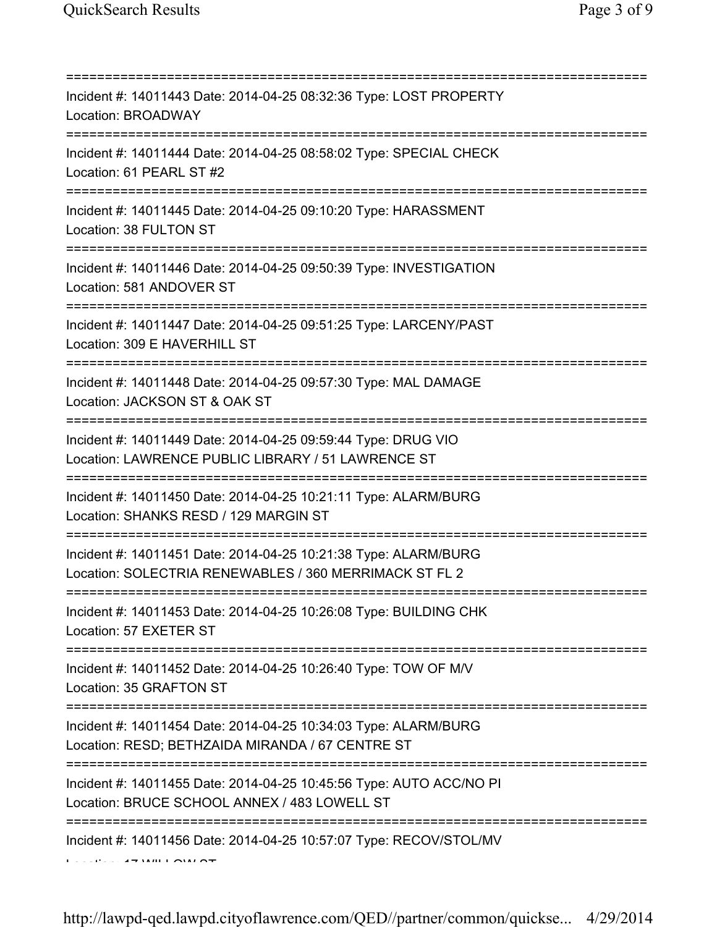| Incident #: 14011443 Date: 2014-04-25 08:32:36 Type: LOST PROPERTY<br>Location: BROADWAY                                                              |
|-------------------------------------------------------------------------------------------------------------------------------------------------------|
| Incident #: 14011444 Date: 2014-04-25 08:58:02 Type: SPECIAL CHECK<br>Location: 61 PEARL ST #2                                                        |
| Incident #: 14011445 Date: 2014-04-25 09:10:20 Type: HARASSMENT<br>Location: 38 FULTON ST                                                             |
| Incident #: 14011446 Date: 2014-04-25 09:50:39 Type: INVESTIGATION<br>Location: 581 ANDOVER ST                                                        |
| Incident #: 14011447 Date: 2014-04-25 09:51:25 Type: LARCENY/PAST<br>Location: 309 E HAVERHILL ST                                                     |
| Incident #: 14011448 Date: 2014-04-25 09:57:30 Type: MAL DAMAGE<br>Location: JACKSON ST & OAK ST                                                      |
| Incident #: 14011449 Date: 2014-04-25 09:59:44 Type: DRUG VIO<br>Location: LAWRENCE PUBLIC LIBRARY / 51 LAWRENCE ST                                   |
| ============================<br>Incident #: 14011450 Date: 2014-04-25 10:21:11 Type: ALARM/BURG<br>Location: SHANKS RESD / 129 MARGIN ST              |
| Incident #: 14011451 Date: 2014-04-25 10:21:38 Type: ALARM/BURG<br>Location: SOLECTRIA RENEWABLES / 360 MERRIMACK ST FL 2                             |
| Incident #: 14011453 Date: 2014-04-25 10:26:08 Type: BUILDING CHK<br>Location: 57 EXETER ST                                                           |
| Incident #: 14011452 Date: 2014-04-25 10:26:40 Type: TOW OF M/V<br>Location: 35 GRAFTON ST                                                            |
| Incident #: 14011454 Date: 2014-04-25 10:34:03 Type: ALARM/BURG<br>Location: RESD; BETHZAIDA MIRANDA / 67 CENTRE ST                                   |
| ==============================<br>Incident #: 14011455 Date: 2014-04-25 10:45:56 Type: AUTO ACC/NO PI<br>Location: BRUCE SCHOOL ANNEX / 483 LOWELL ST |
| Incident #: 14011456 Date: 2014-04-25 10:57:07 Type: RECOV/STOL/MV                                                                                    |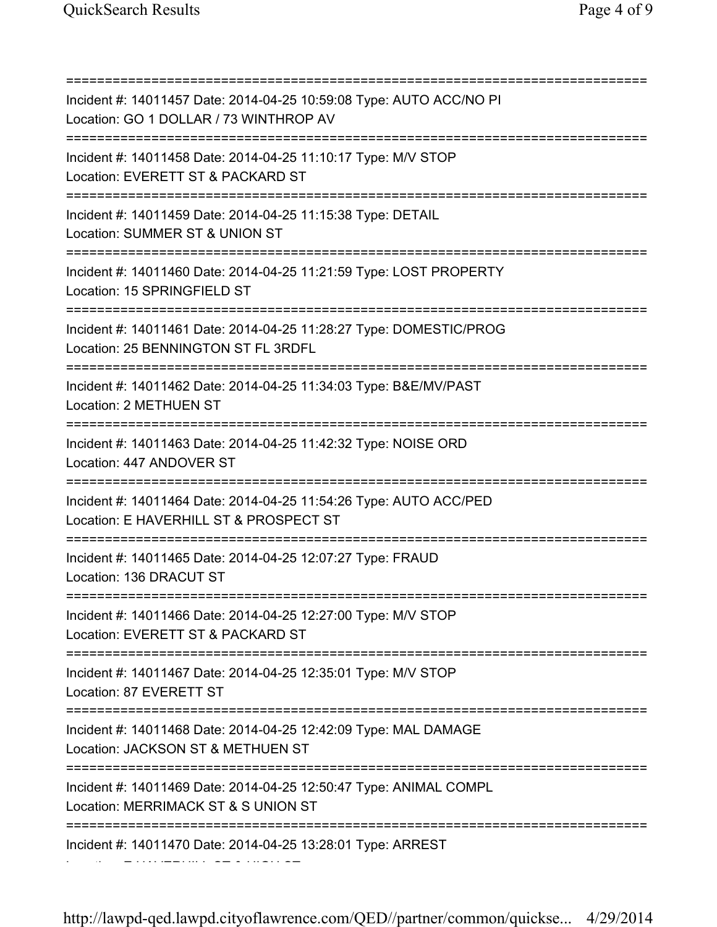=========================================================================== Incident #: 14011457 Date: 2014-04-25 10:59:08 Type: AUTO ACC/NO PI Location: GO 1 DOLLAR / 73 WINTHROP AV =========================================================================== Incident #: 14011458 Date: 2014-04-25 11:10:17 Type: M/V STOP Location: EVERETT ST & PACKARD ST =========================================================================== Incident #: 14011459 Date: 2014-04-25 11:15:38 Type: DETAIL Location: SUMMER ST & UNION ST =========================================================================== Incident #: 14011460 Date: 2014-04-25 11:21:59 Type: LOST PROPERTY Location: 15 SPRINGFIELD ST =========================================================================== Incident #: 14011461 Date: 2014-04-25 11:28:27 Type: DOMESTIC/PROG Location: 25 BENNINGTON ST FL 3RDFL =========================================================================== Incident #: 14011462 Date: 2014-04-25 11:34:03 Type: B&E/MV/PAST Location: 2 METHUEN ST =========================================================================== Incident #: 14011463 Date: 2014-04-25 11:42:32 Type: NOISE ORD Location: 447 ANDOVER ST =========================================================================== Incident #: 14011464 Date: 2014-04-25 11:54:26 Type: AUTO ACC/PED Location: E HAVERHILL ST & PROSPECT ST =========================================================================== Incident #: 14011465 Date: 2014-04-25 12:07:27 Type: FRAUD Location: 136 DRACUT ST =========================================================================== Incident #: 14011466 Date: 2014-04-25 12:27:00 Type: M/V STOP Location: EVERETT ST & PACKARD ST =========================================================================== Incident #: 14011467 Date: 2014-04-25 12:35:01 Type: M/V STOP Location: 87 EVERETT ST =========================================================================== Incident #: 14011468 Date: 2014-04-25 12:42:09 Type: MAL DAMAGE Location: JACKSON ST & METHUEN ST =========================================================================== Incident #: 14011469 Date: 2014-04-25 12:50:47 Type: ANIMAL COMPL Location: MERRIMACK ST & S UNION ST =========================================================================== Incident #: 14011470 Date: 2014-04-25 13:28:01 Type: ARREST Location: E HAVERHILL ST & HIGH ST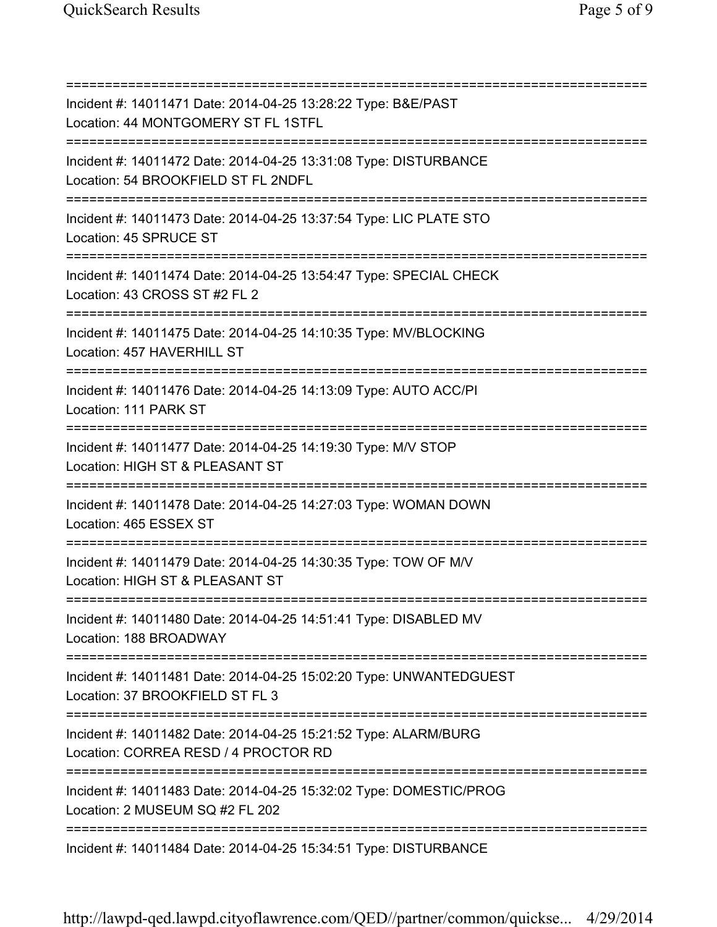| Incident #: 14011471 Date: 2014-04-25 13:28:22 Type: B&E/PAST<br>Location: 44 MONTGOMERY ST FL 1STFL<br>===============================         |
|-------------------------------------------------------------------------------------------------------------------------------------------------|
| Incident #: 14011472 Date: 2014-04-25 13:31:08 Type: DISTURBANCE<br>Location: 54 BROOKFIELD ST FL 2NDFL<br>==========================           |
| Incident #: 14011473 Date: 2014-04-25 13:37:54 Type: LIC PLATE STO<br>Location: 45 SPRUCE ST<br>=====================================           |
| Incident #: 14011474 Date: 2014-04-25 13:54:47 Type: SPECIAL CHECK<br>Location: 43 CROSS ST #2 FL 2<br>====================================     |
| Incident #: 14011475 Date: 2014-04-25 14:10:35 Type: MV/BLOCKING<br>Location: 457 HAVERHILL ST                                                  |
| Incident #: 14011476 Date: 2014-04-25 14:13:09 Type: AUTO ACC/PI<br>Location: 111 PARK ST                                                       |
| Incident #: 14011477 Date: 2014-04-25 14:19:30 Type: M/V STOP<br>Location: HIGH ST & PLEASANT ST<br>===============                             |
| Incident #: 14011478 Date: 2014-04-25 14:27:03 Type: WOMAN DOWN<br>Location: 465 ESSEX ST                                                       |
| Incident #: 14011479 Date: 2014-04-25 14:30:35 Type: TOW OF M/V<br>Location: HIGH ST & PLEASANT ST                                              |
| Incident #: 14011480 Date: 2014-04-25 14:51:41 Type: DISABLED MV<br>Location: 188 BROADWAY                                                      |
| ======================================<br>Incident #: 14011481 Date: 2014-04-25 15:02:20 Type: UNWANTEDGUEST<br>Location: 37 BROOKFIELD ST FL 3 |
| Incident #: 14011482 Date: 2014-04-25 15:21:52 Type: ALARM/BURG<br>Location: CORREA RESD / 4 PROCTOR RD                                         |
| Incident #: 14011483 Date: 2014-04-25 15:32:02 Type: DOMESTIC/PROG<br>Location: 2 MUSEUM SQ #2 FL 202                                           |
| Incident #: 14011484 Date: 2014-04-25 15:34:51 Type: DISTURBANCE                                                                                |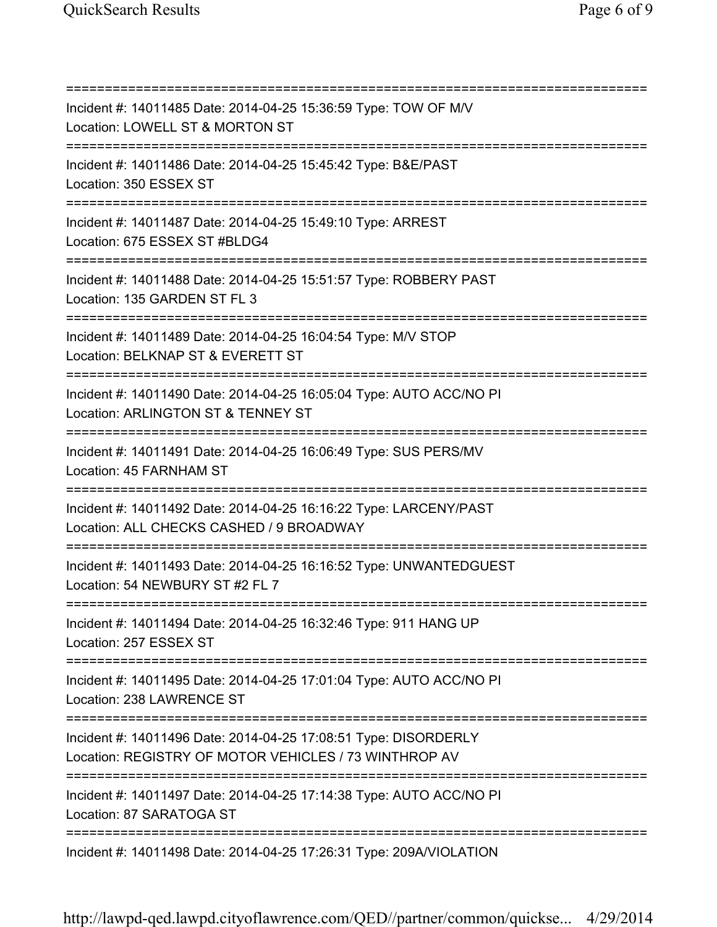=========================================================================== Incident #: 14011485 Date: 2014-04-25 15:36:59 Type: TOW OF M/V Location: LOWELL ST & MORTON ST =========================================================================== Incident #: 14011486 Date: 2014-04-25 15:45:42 Type: B&E/PAST Location: 350 ESSEX ST =========================================================================== Incident #: 14011487 Date: 2014-04-25 15:49:10 Type: ARREST Location: 675 ESSEX ST #BLDG4 =========================================================================== Incident #: 14011488 Date: 2014-04-25 15:51:57 Type: ROBBERY PAST Location: 135 GARDEN ST FL 3 =========================================================================== Incident #: 14011489 Date: 2014-04-25 16:04:54 Type: M/V STOP Location: BELKNAP ST & EVERETT ST =========================================================================== Incident #: 14011490 Date: 2014-04-25 16:05:04 Type: AUTO ACC/NO PI Location: ARLINGTON ST & TENNEY ST =========================================================================== Incident #: 14011491 Date: 2014-04-25 16:06:49 Type: SUS PERS/MV Location: 45 FARNHAM ST =========================================================================== Incident #: 14011492 Date: 2014-04-25 16:16:22 Type: LARCENY/PAST Location: ALL CHECKS CASHED / 9 BROADWAY =========================================================================== Incident #: 14011493 Date: 2014-04-25 16:16:52 Type: UNWANTEDGUEST Location: 54 NEWBURY ST #2 FL 7 =========================================================================== Incident #: 14011494 Date: 2014-04-25 16:32:46 Type: 911 HANG UP Location: 257 ESSEX ST =========================================================================== Incident #: 14011495 Date: 2014-04-25 17:01:04 Type: AUTO ACC/NO PI Location: 238 LAWRENCE ST =========================================================================== Incident #: 14011496 Date: 2014-04-25 17:08:51 Type: DISORDERLY Location: REGISTRY OF MOTOR VEHICLES / 73 WINTHROP AV =========================================================================== Incident #: 14011497 Date: 2014-04-25 17:14:38 Type: AUTO ACC/NO PI Location: 87 SARATOGA ST =========================================================================== Incident #: 14011498 Date: 2014-04-25 17:26:31 Type: 209A/VIOLATION

http://lawpd-qed.lawpd.cityoflawrence.com/QED//partner/common/quickse... 4/29/2014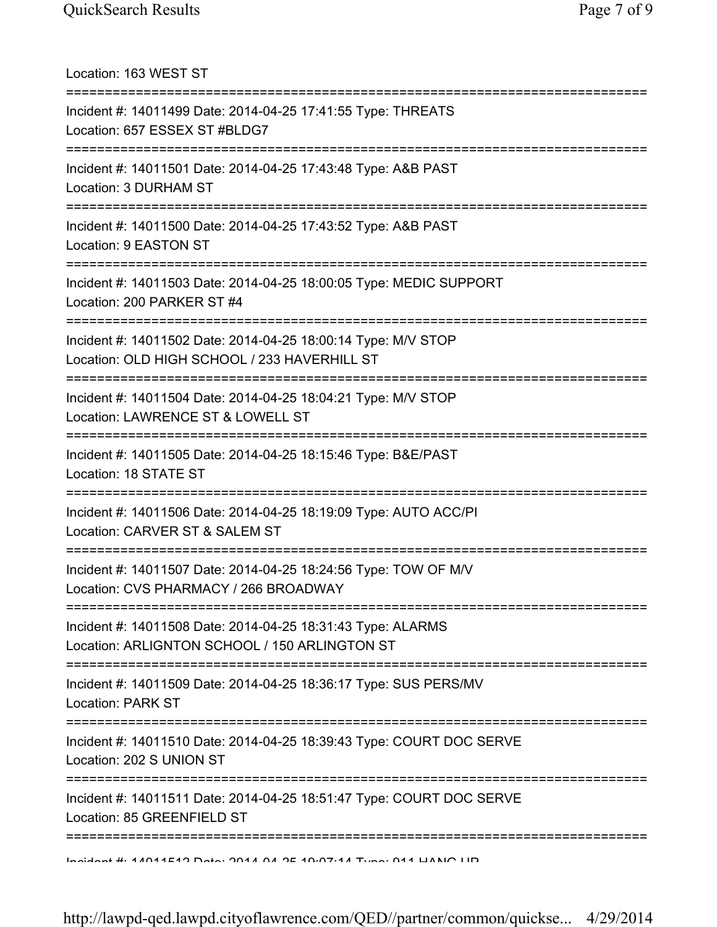Location: 163 WEST ST =========================================================================== Incident #: 14011499 Date: 2014-04-25 17:41:55 Type: THREATS Location: 657 ESSEX ST #BLDG7 =========================================================================== Incident #: 14011501 Date: 2014-04-25 17:43:48 Type: A&B PAST Location: 3 DURHAM ST =========================================================================== Incident #: 14011500 Date: 2014-04-25 17:43:52 Type: A&B PAST Location: 9 EASTON ST =========================================================================== Incident #: 14011503 Date: 2014-04-25 18:00:05 Type: MEDIC SUPPORT Location: 200 PARKER ST #4 =========================================================================== Incident #: 14011502 Date: 2014-04-25 18:00:14 Type: M/V STOP Location: OLD HIGH SCHOOL / 233 HAVERHILL ST =========================================================================== Incident #: 14011504 Date: 2014-04-25 18:04:21 Type: M/V STOP Location: LAWRENCE ST & LOWELL ST =========================================================================== Incident #: 14011505 Date: 2014-04-25 18:15:46 Type: B&E/PAST Location: 18 STATE ST =========================================================================== Incident #: 14011506 Date: 2014-04-25 18:19:09 Type: AUTO ACC/PI Location: CARVER ST & SALEM ST =========================================================================== Incident #: 14011507 Date: 2014-04-25 18:24:56 Type: TOW OF M/V Location: CVS PHARMACY / 266 BROADWAY =========================================================================== Incident #: 14011508 Date: 2014-04-25 18:31:43 Type: ALARMS Location: ARLIGNTON SCHOOL / 150 ARLINGTON ST =========================================================================== Incident #: 14011509 Date: 2014-04-25 18:36:17 Type: SUS PERS/MV Location: PARK ST =========================================================================== Incident #: 14011510 Date: 2014-04-25 18:39:43 Type: COURT DOC SERVE Location: 202 S UNION ST =========================================================================== Incident #: 14011511 Date: 2014-04-25 18:51:47 Type: COURT DOC SERVE Location: 85 GREENFIELD ST =========================================================================== Incident #: 14011512 Date: 2014 04 25 19:07:14 Type: 911 HANG UP

http://lawpd-qed.lawpd.cityoflawrence.com/QED//partner/common/quickse... 4/29/2014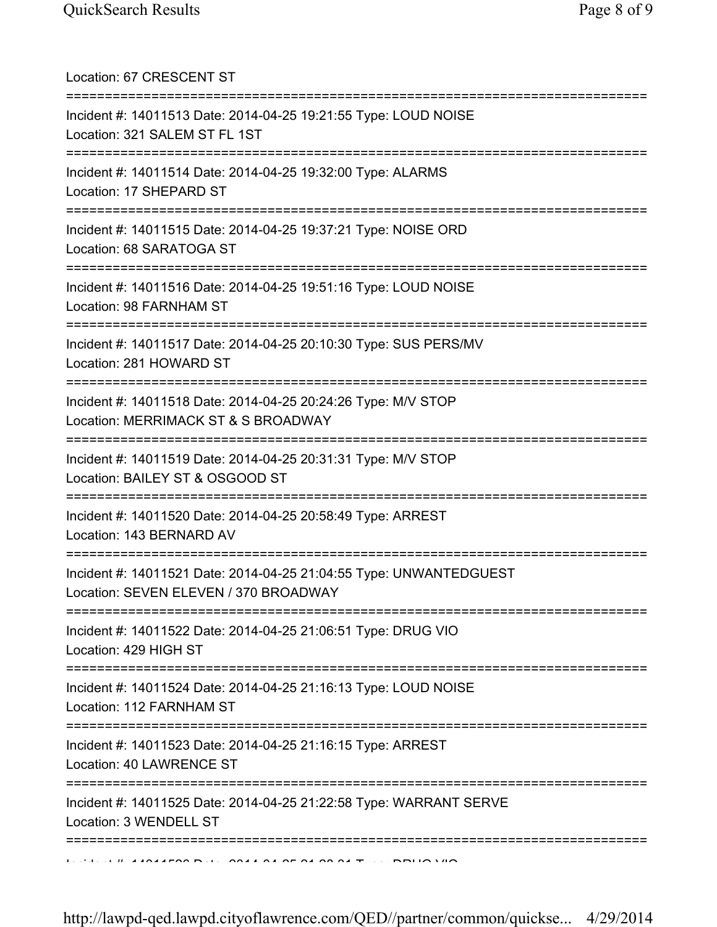| Location: 67 CRESCENT ST                                                                                                                |
|-----------------------------------------------------------------------------------------------------------------------------------------|
| Incident #: 14011513 Date: 2014-04-25 19:21:55 Type: LOUD NOISE<br>Location: 321 SALEM ST FL 1ST                                        |
| Incident #: 14011514 Date: 2014-04-25 19:32:00 Type: ALARMS<br>Location: 17 SHEPARD ST<br>================================              |
| Incident #: 14011515 Date: 2014-04-25 19:37:21 Type: NOISE ORD<br>Location: 68 SARATOGA ST                                              |
| Incident #: 14011516 Date: 2014-04-25 19:51:16 Type: LOUD NOISE<br>Location: 98 FARNHAM ST                                              |
| =================================<br>Incident #: 14011517 Date: 2014-04-25 20:10:30 Type: SUS PERS/MV<br>Location: 281 HOWARD ST        |
| ===============================<br>Incident #: 14011518 Date: 2014-04-25 20:24:26 Type: M/V STOP<br>Location: MERRIMACK ST & S BROADWAY |
| Incident #: 14011519 Date: 2014-04-25 20:31:31 Type: M/V STOP<br>Location: BAILEY ST & OSGOOD ST                                        |
| Incident #: 14011520 Date: 2014-04-25 20:58:49 Type: ARREST<br>Location: 143 BERNARD AV                                                 |
| Incident #: 14011521 Date: 2014-04-25 21:04:55 Type: UNWANTEDGUEST<br>Location: SEVEN ELEVEN / 370 BROADWAY                             |
| Incident #: 14011522 Date: 2014-04-25 21:06:51 Type: DRUG VIO<br>Location: 429 HIGH ST                                                  |
| Incident #: 14011524 Date: 2014-04-25 21:16:13 Type: LOUD NOISE<br>Location: 112 FARNHAM ST                                             |
| =================================<br>Incident #: 14011523 Date: 2014-04-25 21:16:15 Type: ARREST<br>Location: 40 LAWRENCE ST            |
| :============<br>Incident #: 14011525 Date: 2014-04-25 21:22:58 Type: WARRANT SERVE<br>Location: 3 WENDELL ST                           |
| $1.33.31 \times 10^{-4}$ and a foot five and all of all on on $T \times 10^{-10}$ MM $\sim$                                             |

http://lawpd-qed.lawpd.cityoflawrence.com/QED//partner/common/quickse... 4/29/2014